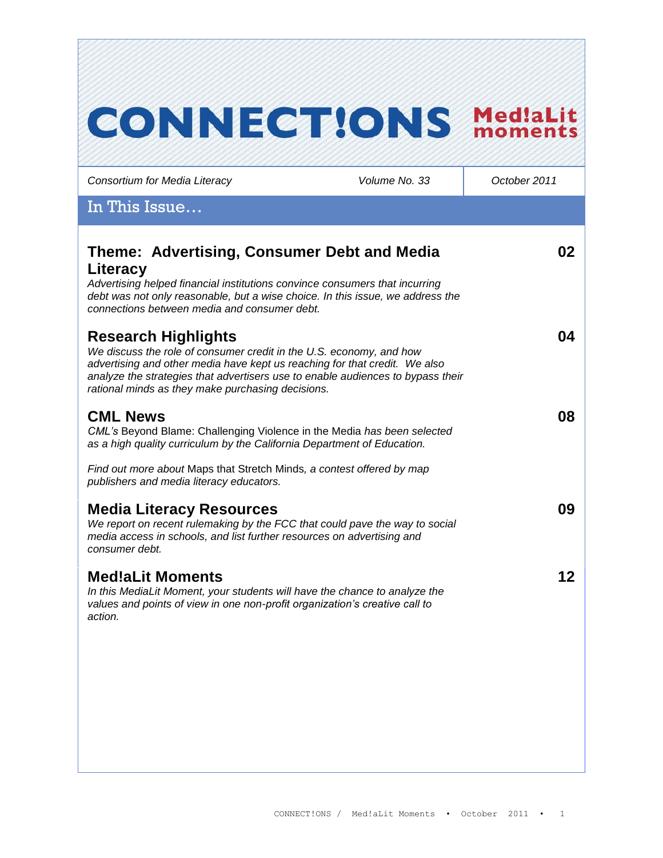# **CONNECT!ONS Med!aLit**

*Consortium for Media Literacy Volume No. 33 October 2011*

### In This Issue…

| Theme: Advertising, Consumer Debt and Media<br>Literacy<br>Advertising helped financial institutions convince consumers that incurring<br>debt was not only reasonable, but a wise choice. In this issue, we address the<br>connections between media and consumer debt.                                                | 02 |
|-------------------------------------------------------------------------------------------------------------------------------------------------------------------------------------------------------------------------------------------------------------------------------------------------------------------------|----|
| <b>Research Highlights</b><br>We discuss the role of consumer credit in the U.S. economy, and how<br>advertising and other media have kept us reaching for that credit. We also<br>analyze the strategies that advertisers use to enable audiences to bypass their<br>rational minds as they make purchasing decisions. | 04 |
| <b>CML News</b><br>CML's Beyond Blame: Challenging Violence in the Media has been selected<br>as a high quality curriculum by the California Department of Education.                                                                                                                                                   | 08 |
| Find out more about Maps that Stretch Minds, a contest offered by map<br>publishers and media literacy educators.                                                                                                                                                                                                       |    |
| <b>Media Literacy Resources</b><br>We report on recent rulemaking by the FCC that could pave the way to social<br>media access in schools, and list further resources on advertising and<br>consumer debt.                                                                                                              | 09 |
| <b>Med!aLit Moments</b><br>In this MediaLit Moment, your students will have the chance to analyze the<br>values and points of view in one non-profit organization's creative call to<br>action.                                                                                                                         | 12 |
|                                                                                                                                                                                                                                                                                                                         |    |
|                                                                                                                                                                                                                                                                                                                         |    |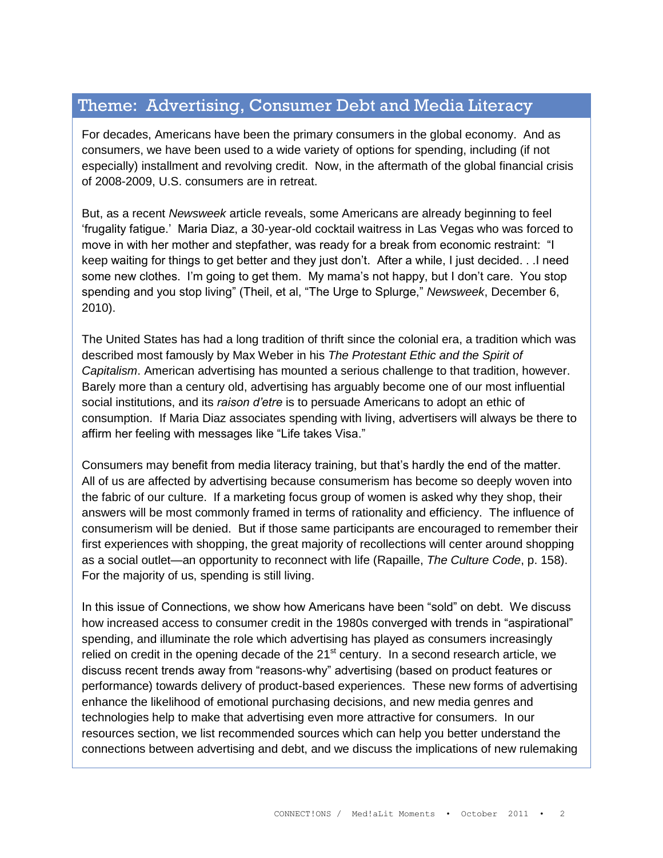# Theme: Advertising, Consumer Debt and Media Literacy

For decades, Americans have been the primary consumers in the global economy. And as consumers, we have been used to a wide variety of options for spending, including (if not especially) installment and revolving credit. Now, in the aftermath of the global financial crisis of 2008-2009, U.S. consumers are in retreat.

But, as a recent *Newsweek* article reveals, some Americans are already beginning to feel "frugality fatigue." Maria Diaz, a 30-year-old cocktail waitress in Las Vegas who was forced to move in with her mother and stepfather, was ready for a break from economic restraint: "I keep waiting for things to get better and they just don"t. After a while, I just decided. . .I need some new clothes. I'm going to get them. My mama's not happy, but I don't care. You stop spending and you stop living" (Theil, et al, "The Urge to Splurge," *Newsweek*, December 6, 2010).

The United States has had a long tradition of thrift since the colonial era, a tradition which was described most famously by Max Weber in his *The Protestant Ethic and the Spirit of Capitalism*. American advertising has mounted a serious challenge to that tradition, however. Barely more than a century old, advertising has arguably become one of our most influential social institutions, and its *raison d'etre* is to persuade Americans to adopt an ethic of consumption. If Maria Diaz associates spending with living, advertisers will always be there to affirm her feeling with messages like "Life takes Visa."

Consumers may benefit from media literacy training, but that"s hardly the end of the matter. All of us are affected by advertising because consumerism has become so deeply woven into the fabric of our culture. If a marketing focus group of women is asked why they shop, their answers will be most commonly framed in terms of rationality and efficiency. The influence of consumerism will be denied. But if those same participants are encouraged to remember their first experiences with shopping, the great majority of recollections will center around shopping as a social outlet—an opportunity to reconnect with life (Rapaille, *The Culture Code*, p. 158). For the majority of us, spending is still living.

In this issue of Connections, we show how Americans have been "sold" on debt. We discuss how increased access to consumer credit in the 1980s converged with trends in "aspirational" spending, and illuminate the role which advertising has played as consumers increasingly relied on credit in the opening decade of the  $21<sup>st</sup>$  century. In a second research article, we discuss recent trends away from "reasons-why" advertising (based on product features or performance) towards delivery of product-based experiences. These new forms of advertising enhance the likelihood of emotional purchasing decisions, and new media genres and technologies help to make that advertising even more attractive for consumers. In our resources section, we list recommended sources which can help you better understand the connections between advertising and debt, and we discuss the implications of new rulemaking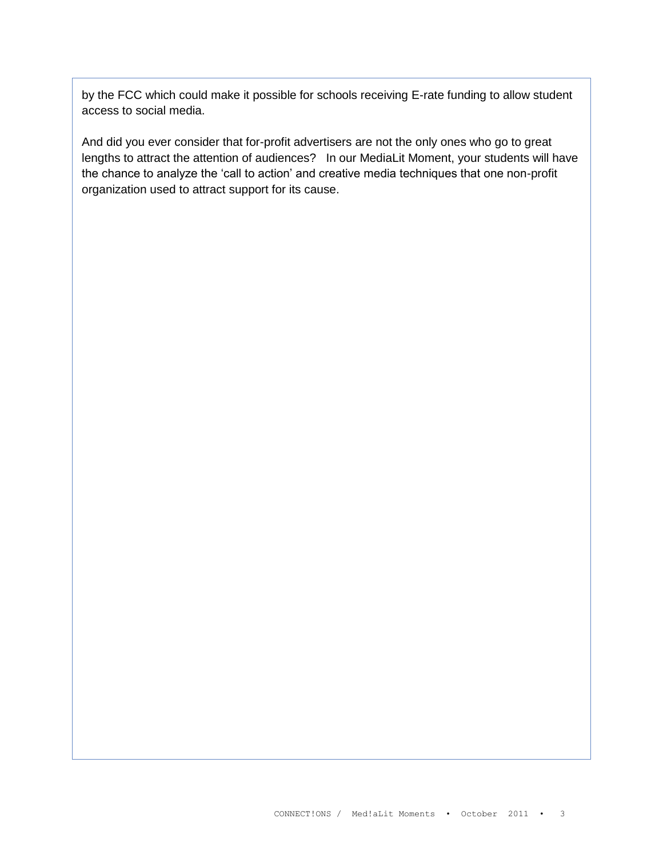by the FCC which could make it possible for schools receiving E-rate funding to allow student access to social media.

And did you ever consider that for-profit advertisers are not the only ones who go to great lengths to attract the attention of audiences? In our MediaLit Moment, your students will have the chance to analyze the "call to action" and creative media techniques that one non-profit organization used to attract support for its cause.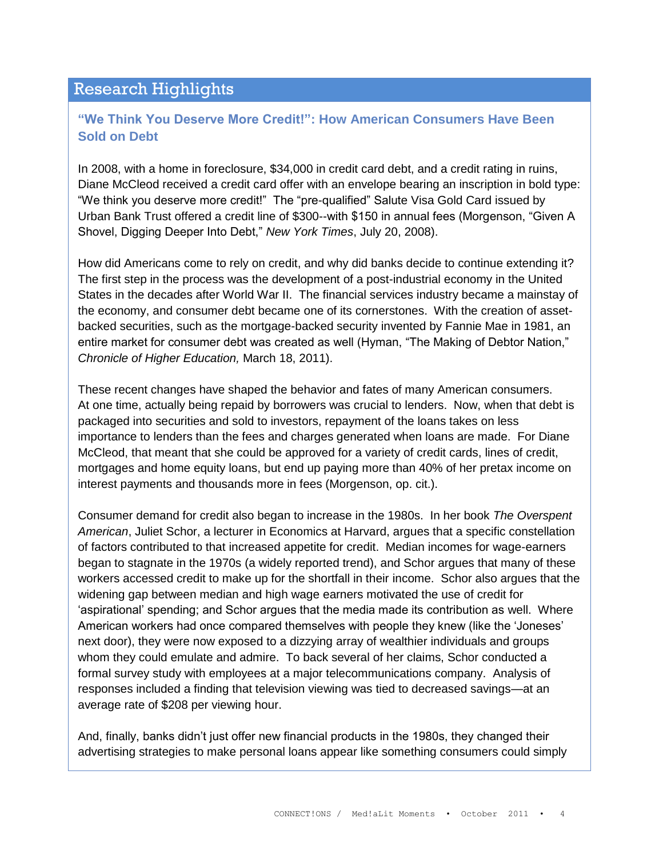## Research Highlights

#### **"We Think You Deserve More Credit!": How American Consumers Have Been Sold on Debt**

In 2008, with a home in foreclosure, \$34,000 in credit card debt, and a credit rating in ruins, Diane McCleod received a credit card offer with an envelope bearing an inscription in bold type: "We think you deserve more credit!" The "pre-qualified" Salute Visa Gold Card issued by Urban Bank Trust offered a credit line of \$300--with \$150 in annual fees (Morgenson, "Given A Shovel, Digging Deeper Into Debt," *New York Times*, July 20, 2008).

How did Americans come to rely on credit, and why did banks decide to continue extending it? The first step in the process was the development of a post-industrial economy in the United States in the decades after World War II. The financial services industry became a mainstay of the economy, and consumer debt became one of its cornerstones. With the creation of assetbacked securities, such as the mortgage-backed security invented by Fannie Mae in 1981, an entire market for consumer debt was created as well (Hyman, "The Making of Debtor Nation," *Chronicle of Higher Education,* March 18, 2011).

These recent changes have shaped the behavior and fates of many American consumers. At one time, actually being repaid by borrowers was crucial to lenders. Now, when that debt is packaged into securities and sold to investors, repayment of the loans takes on less importance to lenders than the fees and charges generated when loans are made. For Diane McCleod, that meant that she could be approved for a variety of credit cards, lines of credit, mortgages and home equity loans, but end up paying more than 40% of her pretax income on interest payments and thousands more in fees (Morgenson, op. cit.).

Consumer demand for credit also began to increase in the 1980s. In her book *The Overspent American*, Juliet Schor, a lecturer in Economics at Harvard, argues that a specific constellation of factors contributed to that increased appetite for credit. Median incomes for wage-earners began to stagnate in the 1970s (a widely reported trend), and Schor argues that many of these workers accessed credit to make up for the shortfall in their income. Schor also argues that the widening gap between median and high wage earners motivated the use of credit for "aspirational" spending; and Schor argues that the media made its contribution as well. Where American workers had once compared themselves with people they knew (like the "Joneses" next door), they were now exposed to a dizzying array of wealthier individuals and groups whom they could emulate and admire. To back several of her claims, Schor conducted a formal survey study with employees at a major telecommunications company. Analysis of responses included a finding that television viewing was tied to decreased savings—at an average rate of \$208 per viewing hour.

And, finally, banks didn"t just offer new financial products in the 1980s, they changed their advertising strategies to make personal loans appear like something consumers could simply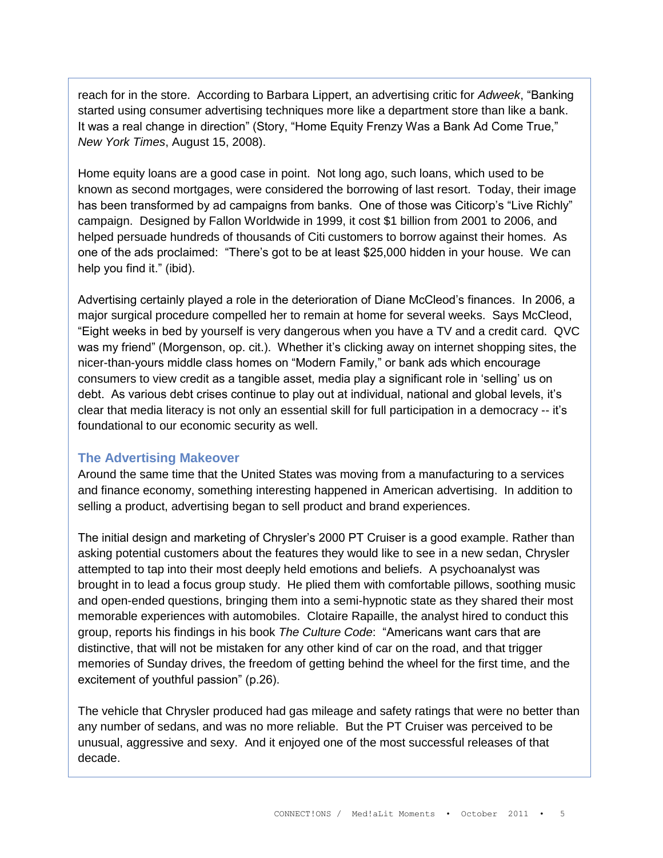reach for in the store. According to Barbara Lippert, an advertising critic for *Adweek*, "Banking started using consumer advertising techniques more like a department store than like a bank. It was a real change in direction" (Story, "Home Equity Frenzy Was a Bank Ad Come True," *New York Times*, August 15, 2008).

Home equity loans are a good case in point. Not long ago, such loans, which used to be known as second mortgages, were considered the borrowing of last resort. Today, their image has been transformed by ad campaigns from banks. One of those was Citicorp's "Live Richly" campaign. Designed by Fallon Worldwide in 1999, it cost \$1 billion from 2001 to 2006, and helped persuade hundreds of thousands of Citi customers to borrow against their homes. As one of the ads proclaimed: "There"s got to be at least \$25,000 hidden in your house. We can help you find it." (ibid).

Advertising certainly played a role in the deterioration of Diane McCleod"s finances. In 2006, a major surgical procedure compelled her to remain at home for several weeks. Says McCleod, "Eight weeks in bed by yourself is very dangerous when you have a TV and a credit card. QVC was my friend" (Morgenson, op. cit.). Whether it's clicking away on internet shopping sites, the nicer-than-yours middle class homes on "Modern Family," or bank ads which encourage consumers to view credit as a tangible asset, media play a significant role in "selling" us on debt. As various debt crises continue to play out at individual, national and global levels, it"s clear that media literacy is not only an essential skill for full participation in a democracy -- it"s foundational to our economic security as well.

#### **The Advertising Makeover**

Around the same time that the United States was moving from a manufacturing to a services and finance economy, something interesting happened in American advertising. In addition to selling a product, advertising began to sell product and brand experiences.

The initial design and marketing of Chrysler"s 2000 PT Cruiser is a good example. Rather than asking potential customers about the features they would like to see in a new sedan, Chrysler attempted to tap into their most deeply held emotions and beliefs. A psychoanalyst was brought in to lead a focus group study. He plied them with comfortable pillows, soothing music and open-ended questions, bringing them into a semi-hypnotic state as they shared their most memorable experiences with automobiles. Clotaire Rapaille, the analyst hired to conduct this group, reports his findings in his book *The Culture Code*: "Americans want cars that are distinctive, that will not be mistaken for any other kind of car on the road, and that trigger memories of Sunday drives, the freedom of getting behind the wheel for the first time, and the excitement of youthful passion" (p.26).

The vehicle that Chrysler produced had gas mileage and safety ratings that were no better than any number of sedans, and was no more reliable. But the PT Cruiser was perceived to be unusual, aggressive and sexy. And it enjoyed one of the most successful releases of that decade.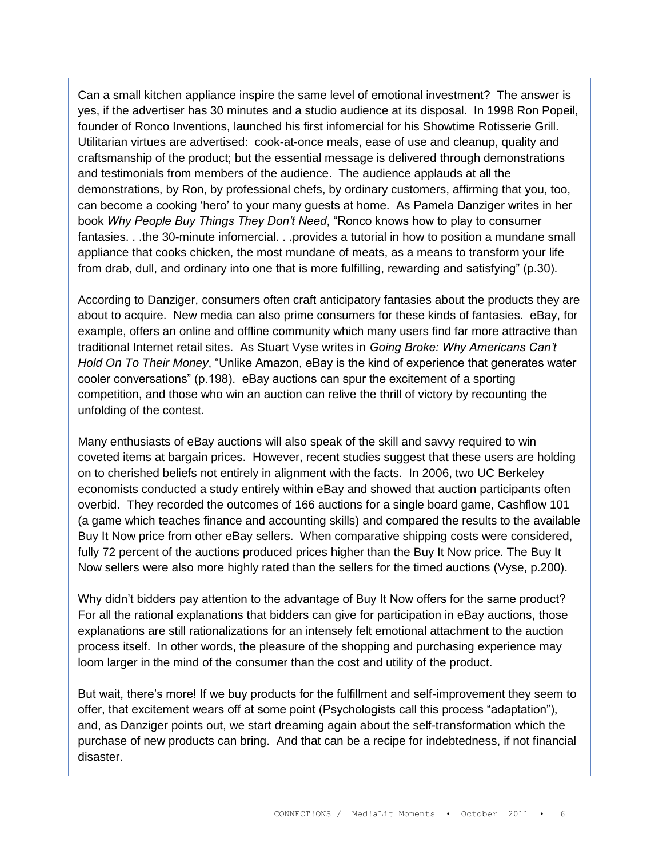Can a small kitchen appliance inspire the same level of emotional investment? The answer is yes, if the advertiser has 30 minutes and a studio audience at its disposal. In 1998 Ron Popeil, founder of Ronco Inventions, launched his first infomercial for his Showtime Rotisserie Grill. Utilitarian virtues are advertised: cook-at-once meals, ease of use and cleanup, quality and craftsmanship of the product; but the essential message is delivered through demonstrations and testimonials from members of the audience. The audience applauds at all the demonstrations, by Ron, by professional chefs, by ordinary customers, affirming that you, too, can become a cooking "hero" to your many guests at home. As Pamela Danziger writes in her book *Why People Buy Things They Don't Need*, "Ronco knows how to play to consumer fantasies. . .the 30-minute infomercial. . .provides a tutorial in how to position a mundane small appliance that cooks chicken, the most mundane of meats, as a means to transform your life from drab, dull, and ordinary into one that is more fulfilling, rewarding and satisfying" (p.30).

According to Danziger, consumers often craft anticipatory fantasies about the products they are about to acquire. New media can also prime consumers for these kinds of fantasies. eBay, for example, offers an online and offline community which many users find far more attractive than traditional Internet retail sites. As Stuart Vyse writes in *Going Broke: Why Americans Can't Hold On To Their Money*, "Unlike Amazon, eBay is the kind of experience that generates water cooler conversations" (p.198). eBay auctions can spur the excitement of a sporting competition, and those who win an auction can relive the thrill of victory by recounting the unfolding of the contest.

Many enthusiasts of eBay auctions will also speak of the skill and savvy required to win coveted items at bargain prices. However, recent studies suggest that these users are holding on to cherished beliefs not entirely in alignment with the facts. In 2006, two UC Berkeley economists conducted a study entirely within eBay and showed that auction participants often overbid. They recorded the outcomes of 166 auctions for a single board game, Cashflow 101 (a game which teaches finance and accounting skills) and compared the results to the available Buy It Now price from other eBay sellers. When comparative shipping costs were considered, fully 72 percent of the auctions produced prices higher than the Buy It Now price. The Buy It Now sellers were also more highly rated than the sellers for the timed auctions (Vyse, p.200).

Why didn"t bidders pay attention to the advantage of Buy It Now offers for the same product? For all the rational explanations that bidders can give for participation in eBay auctions, those explanations are still rationalizations for an intensely felt emotional attachment to the auction process itself. In other words, the pleasure of the shopping and purchasing experience may loom larger in the mind of the consumer than the cost and utility of the product.

But wait, there"s more! If we buy products for the fulfillment and self-improvement they seem to offer, that excitement wears off at some point (Psychologists call this process "adaptation"), and, as Danziger points out, we start dreaming again about the self-transformation which the purchase of new products can bring. And that can be a recipe for indebtedness, if not financial disaster.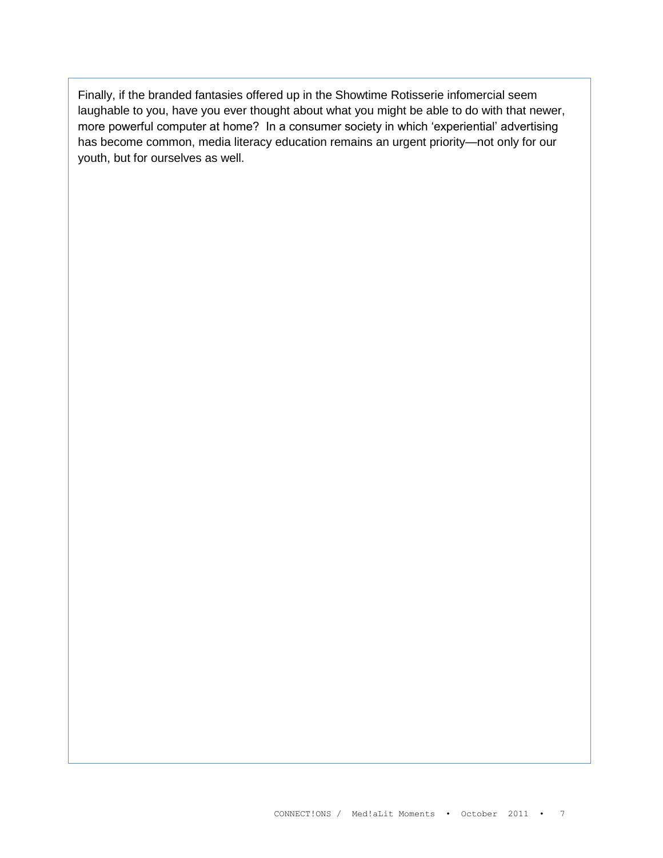Finally, if the branded fantasies offered up in the Showtime Rotisserie infomercial seem laughable to you, have you ever thought about what you might be able to do with that newer, more powerful computer at home? In a consumer society in which "experiential" advertising has become common, media literacy education remains an urgent priority—not only for our youth, but for ourselves as well.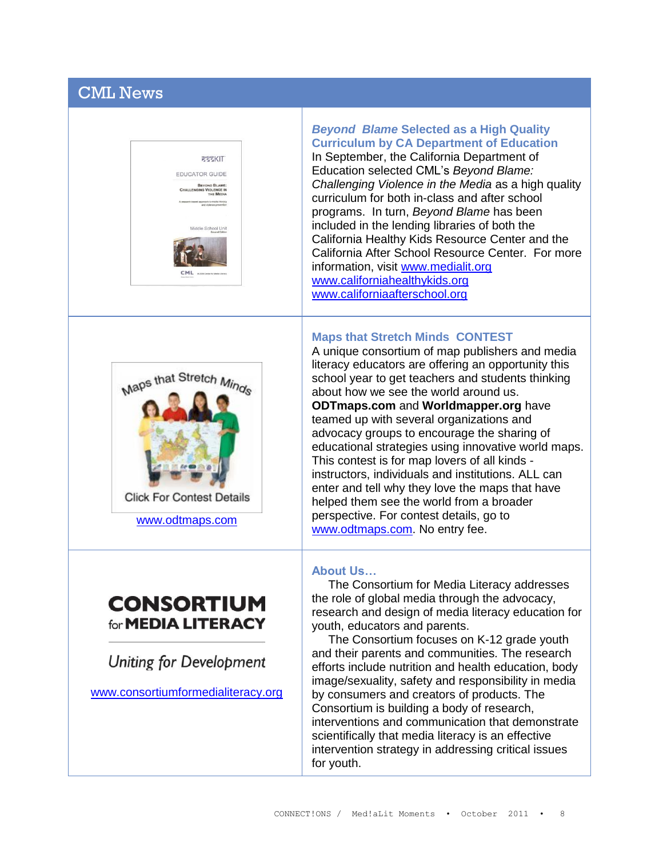# CML News





[www.odtmaps.com](http://www.odtmaps.com/)

# **CONSORTIUM** for **MEDIA LITERACY**

**Uniting for Development** 

[www.consortiumformedialiteracy.org](http://www.consortiumformedialiteracy.org/)

*Beyond Blame* **Selected as a High Quality Curriculum by CA Department of Education** In September, the California Department of Education selected CML"s *Beyond Blame: Challenging Violence in the Media* as a high quality curriculum for both in-class and after school programs. In turn, *Beyond Blame* has been included in the lending libraries of both the California Healthy Kids Resource Center and the California After School Resource Center. For more information, visit [www.medialit.org](http://www.medialit.org/) [www.californiahealthykids.org](http://www.californiahealthykids.org/) [www.californiaafterschool.org](http://www.californiaafterschool.org/)

#### **Maps that Stretch Minds CONTEST**

A unique consortium of map publishers and media literacy educators are offering an opportunity this school year to get teachers and students thinking about how we see the world around us. **ODTmaps.com** and **Worldmapper.org** have teamed up with several organizations and advocacy groups to encourage the sharing of educational strategies using innovative world maps. This contest is for map lovers of all kinds instructors, individuals and institutions. ALL can enter and tell why they love the maps that have helped them see the world from a broader perspective. For contest details, go to [www.odtmaps.com.](http://www.odtmaps.com/) No entry fee.

#### **About Us…**

 The Consortium for Media Literacy addresses the role of global media through the advocacy, research and design of media literacy education for youth, educators and parents.

 The Consortium focuses on K-12 grade youth and their parents and communities. The research efforts include nutrition and health education, body image/sexuality, safety and responsibility in media by consumers and creators of products. The Consortium is building a body of research, interventions and communication that demonstrate scientifically that media literacy is an effective intervention strategy in addressing critical issues for youth.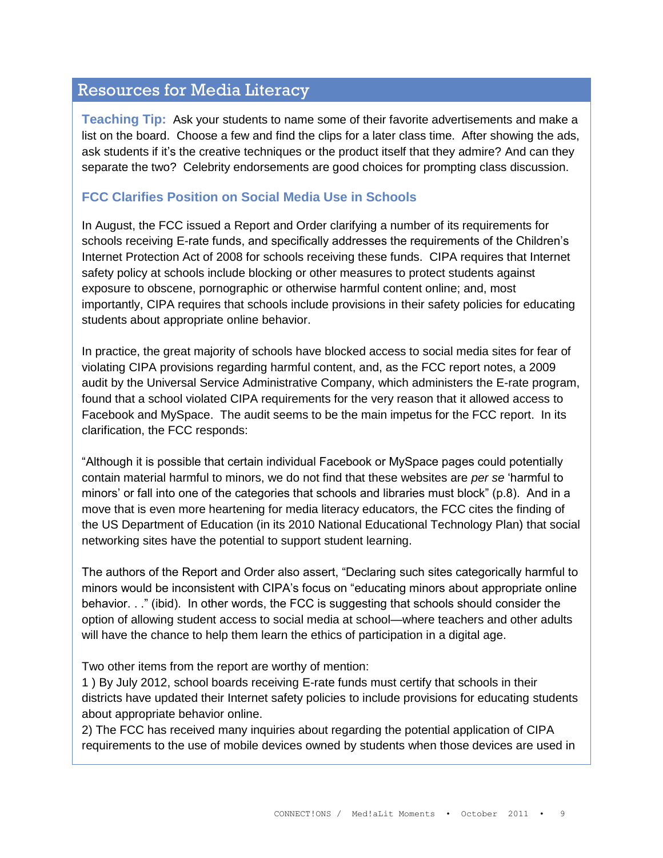# Resources for Media Literacy

**Teaching Tip:** Ask your students to name some of their favorite advertisements and make a list on the board. Choose a few and find the clips for a later class time. After showing the ads, ask students if it's the creative techniques or the product itself that they admire? And can they separate the two? Celebrity endorsements are good choices for prompting class discussion.

#### **FCC Clarifies Position on Social Media Use in Schools**

In August, the FCC issued a Report and Order clarifying a number of its requirements for schools receiving E-rate funds, and specifically addresses the requirements of the Children"s Internet Protection Act of 2008 for schools receiving these funds. CIPA requires that Internet safety policy at schools include blocking or other measures to protect students against exposure to obscene, pornographic or otherwise harmful content online; and, most importantly, CIPA requires that schools include provisions in their safety policies for educating students about appropriate online behavior.

In practice, the great majority of schools have blocked access to social media sites for fear of violating CIPA provisions regarding harmful content, and, as the FCC report notes, a 2009 audit by the Universal Service Administrative Company, which administers the E-rate program, found that a school violated CIPA requirements for the very reason that it allowed access to Facebook and MySpace. The audit seems to be the main impetus for the FCC report. In its clarification, the FCC responds:

"Although it is possible that certain individual Facebook or MySpace pages could potentially contain material harmful to minors, we do not find that these websites are *per se* "harmful to minors" or fall into one of the categories that schools and libraries must block" (p.8). And in a move that is even more heartening for media literacy educators, the FCC cites the finding of the US Department of Education (in its 2010 National Educational Technology Plan) that social networking sites have the potential to support student learning.

The authors of the Report and Order also assert, "Declaring such sites categorically harmful to minors would be inconsistent with CIPA"s focus on "educating minors about appropriate online behavior. . ." (ibid). In other words, the FCC is suggesting that schools should consider the option of allowing student access to social media at school—where teachers and other adults will have the chance to help them learn the ethics of participation in a digital age.

Two other items from the report are worthy of mention:

1 ) By July 2012, school boards receiving E-rate funds must certify that schools in their districts have updated their Internet safety policies to include provisions for educating students about appropriate behavior online.

2) The FCC has received many inquiries about regarding the potential application of CIPA requirements to the use of mobile devices owned by students when those devices are used in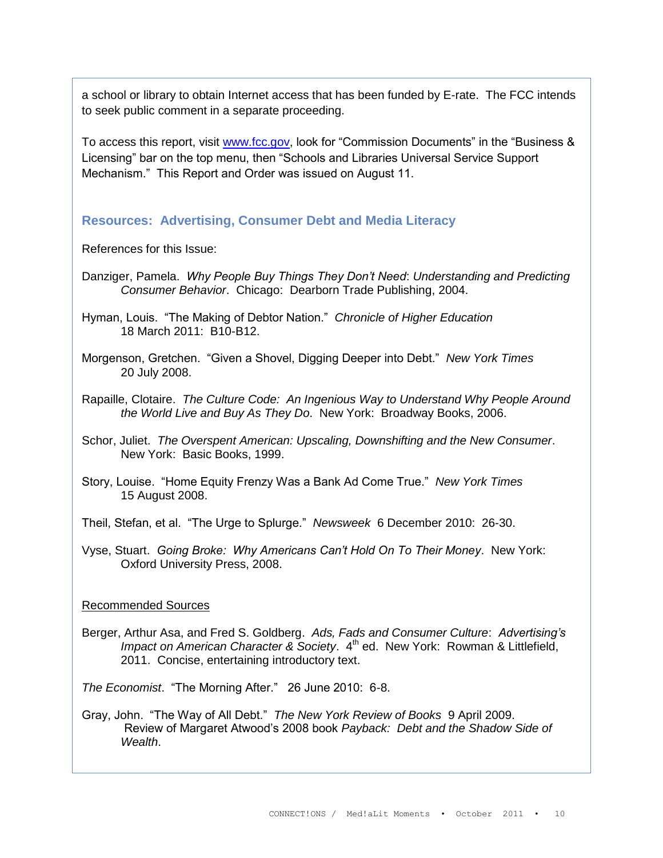a school or library to obtain Internet access that has been funded by E-rate. The FCC intends to seek public comment in a separate proceeding.

To access this report, visit [www.fcc.gov,](http://www.fcc.gov/) look for "Commission Documents" in the "Business & Licensing" bar on the top menu, then "Schools and Libraries Universal Service Support Mechanism." This Report and Order was issued on August 11.

#### **Resources: Advertising, Consumer Debt and Media Literacy**

References for this Issue:

- Danziger, Pamela. *Why People Buy Things They Don't Need*: *Understanding and Predicting Consumer Behavior*. Chicago: Dearborn Trade Publishing, 2004.
- Hyman, Louis. "The Making of Debtor Nation." *Chronicle of Higher Education* 18 March 2011: B10-B12.
- Morgenson, Gretchen. "Given a Shovel, Digging Deeper into Debt." *New York Times* 20 July 2008.
- Rapaille, Clotaire. *The Culture Code: An Ingenious Way to Understand Why People Around the World Live and Buy As They Do*. New York: Broadway Books, 2006.
- Schor, Juliet. *The Overspent American: Upscaling, Downshifting and the New Consumer*. New York: Basic Books, 1999.
- Story, Louise. "Home Equity Frenzy Was a Bank Ad Come True." *New York Times* 15 August 2008.

Theil, Stefan, et al. "The Urge to Splurge." *Newsweek* 6 December 2010: 26-30.

Vyse, Stuart. *Going Broke: Why Americans Can't Hold On To Their Money*. New York: Oxford University Press, 2008.

#### Recommended Sources

Berger, Arthur Asa, and Fred S. Goldberg. *Ads, Fads and Consumer Culture*: *Advertising's Impact on American Character & Society.* 4<sup>th</sup> ed. New York: Rowman & Littlefield, 2011. Concise, entertaining introductory text.

*The Economist*. "The Morning After." 26 June 2010: 6-8.

Gray, John. "The Way of All Debt." *The New York Review of Books* 9 April 2009. Review of Margaret Atwood"s 2008 book *Payback: Debt and the Shadow Side of Wealth*.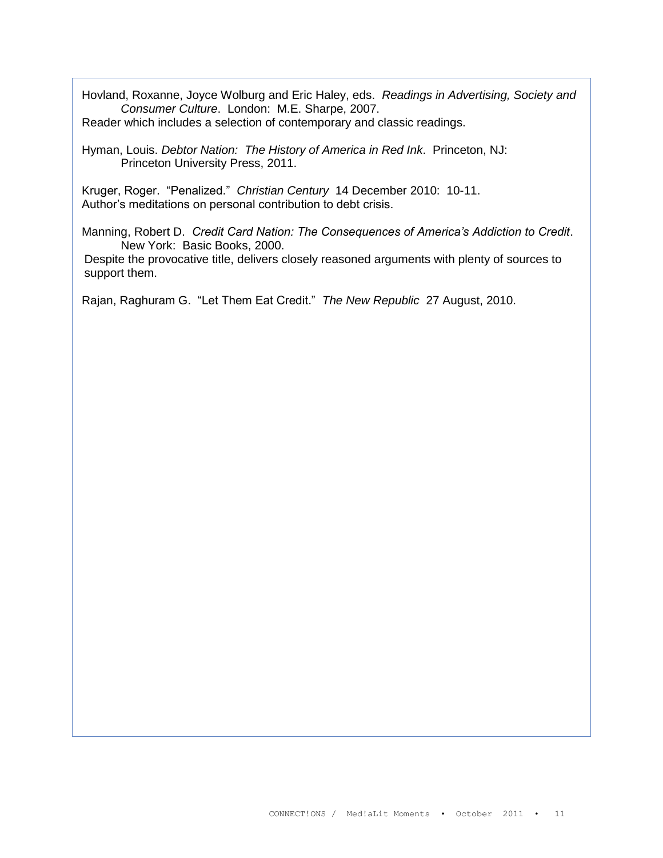Hovland, Roxanne, Joyce Wolburg and Eric Haley, eds. *Readings in Advertising, Society and Consumer Culture*. London: M.E. Sharpe, 2007.

Reader which includes a selection of contemporary and classic readings.

Hyman, Louis. *Debtor Nation: The History of America in Red Ink*. Princeton, NJ: Princeton University Press, 2011.

Kruger, Roger. "Penalized." *Christian Century* 14 December 2010: 10-11. Author"s meditations on personal contribution to debt crisis.

Manning, Robert D. *Credit Card Nation: The Consequences of America's Addiction to Credit*. New York: Basic Books, 2000.

Despite the provocative title, delivers closely reasoned arguments with plenty of sources to support them.

Rajan, Raghuram G. "Let Them Eat Credit." *The New Republic* 27 August, 2010.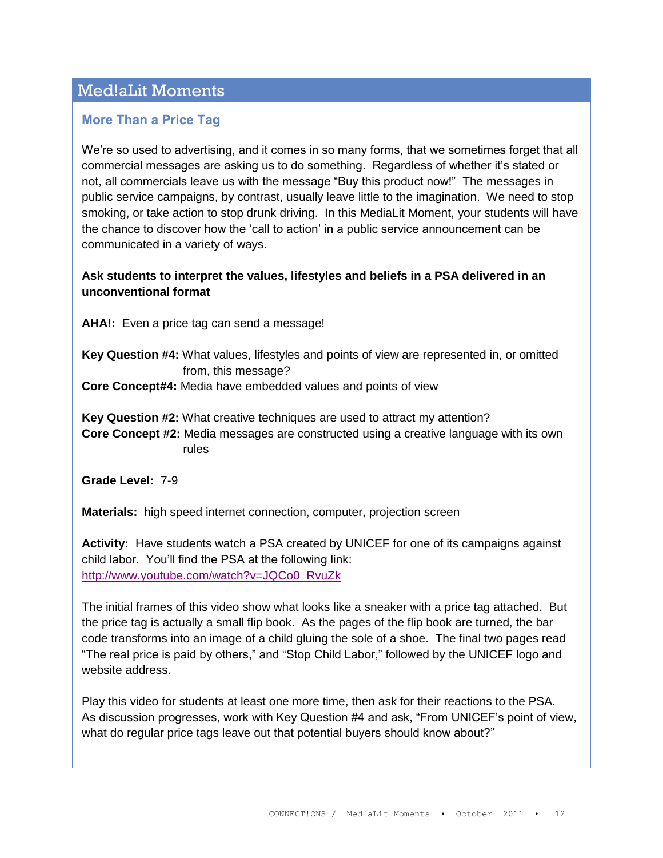# Med!aLit Moments

#### **More Than a Price Tag**

We"re so used to advertising, and it comes in so many forms, that we sometimes forget that all commercial messages are asking us to do something. Regardless of whether it's stated or not, all commercials leave us with the message "Buy this product now!" The messages in public service campaigns, by contrast, usually leave little to the imagination. We need to stop smoking, or take action to stop drunk driving. In this MediaLit Moment, your students will have the chance to discover how the "call to action" in a public service announcement can be communicated in a variety of ways.

#### **Ask students to interpret the values, lifestyles and beliefs in a PSA delivered in an unconventional format**

**AHA!:** Even a price tag can send a message!

**Key Question #4:** What values, lifestyles and points of view are represented in, or omitted from, this message?

**Core Concept#4:** Media have embedded values and points of view

**Key Question #2:** What creative techniques are used to attract my attention?

**Core Concept #2:** Media messages are constructed using a creative language with its own rules

**Grade Level:** 7-9

**Materials:** high speed internet connection, computer, projection screen

**Activity:** Have students watch a PSA created by UNICEF for one of its campaigns against child labor. You"ll find the PSA at the following link: [http://www.youtube.com/watch?v=JQCo0\\_RvuZk](http://www.youtube.com/watch?v=JQCo0_RvuZk)

The initial frames of this video show what looks like a sneaker with a price tag attached. But the price tag is actually a small flip book. As the pages of the flip book are turned, the bar code transforms into an image of a child gluing the sole of a shoe. The final two pages read "The real price is paid by others," and "Stop Child Labor," followed by the UNICEF logo and website address.

Play this video for students at least one more time, then ask for their reactions to the PSA. As discussion progresses, work with Key Question #4 and ask, "From UNICEF"s point of view, what do regular price tags leave out that potential buyers should know about?"